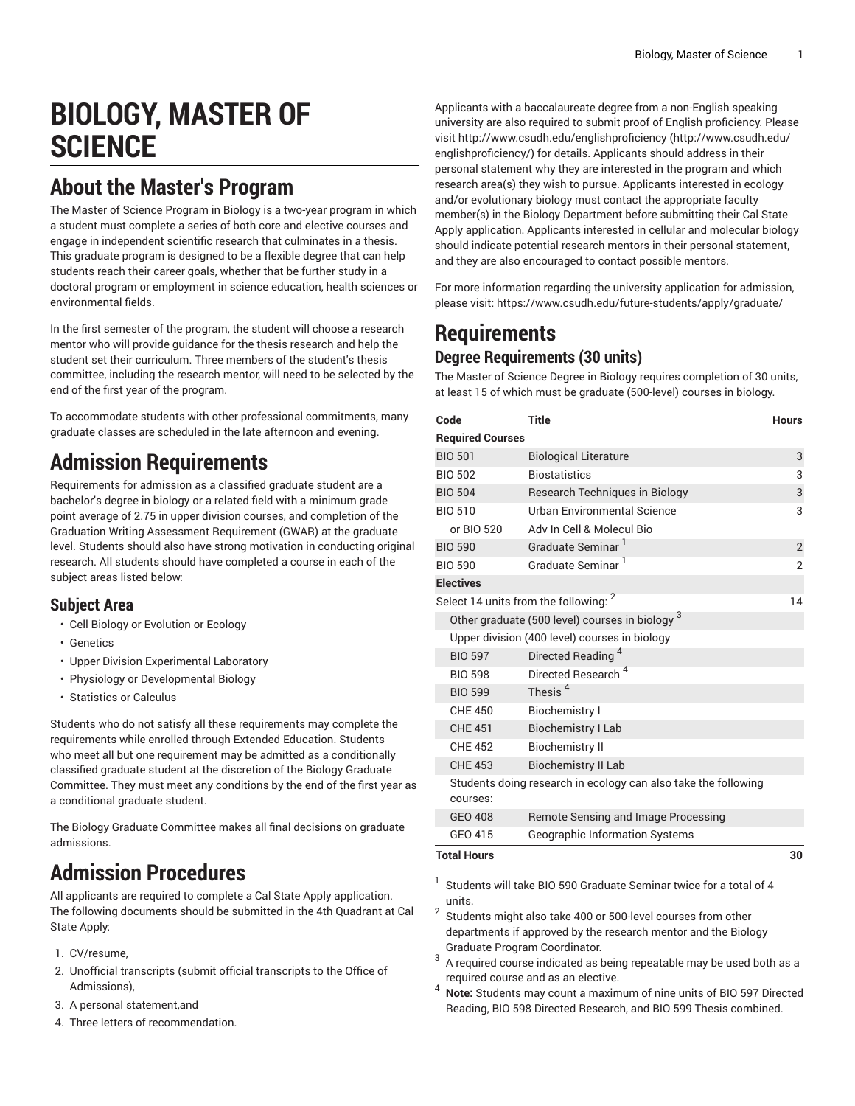# **BIOLOGY, MASTER OF SCIENCE**

#### **About the Master's Program**

The Master of Science Program in Biology is a two-year program in which a student must complete a series of both core and elective courses and engage in independent scientific research that culminates in a thesis. This graduate program is designed to be a flexible degree that can help students reach their career goals, whether that be further study in a doctoral program or employment in science education, health sciences or environmental fields.

In the first semester of the program, the student will choose a research mentor who will provide guidance for the thesis research and help the student set their curriculum. Three members of the student's thesis committee, including the research mentor, will need to be selected by the end of the first year of the program.

To accommodate students with other professional commitments, many graduate classes are scheduled in the late afternoon and evening.

#### **Admission Requirements**

Requirements for admission as a classified graduate student are a bachelor's degree in biology or a related field with a minimum grade point average of 2.75 in upper division courses, and completion of the Graduation Writing Assessment Requirement (GWAR) at the graduate level. Students should also have strong motivation in conducting original research. All students should have completed a course in each of the subject areas listed below:

#### **Subject Area**

- Cell Biology or Evolution or Ecology
- Genetics
- Upper Division Experimental Laboratory
- Physiology or Developmental Biology
- Statistics or Calculus

Students who do not satisfy all these requirements may complete the requirements while enrolled through Extended Education. Students who meet all but one requirement may be admitted as a conditionally classified graduate student at the discretion of the Biology Graduate Committee. They must meet any conditions by the end of the first year as a conditional graduate student.

The Biology Graduate Committee makes all final decisions on graduate admissions.

# **Admission Procedures**

All applicants are required to complete a Cal State Apply application. The following documents should be submitted in the 4th Quadrant at Cal State Apply:

- 1. CV/resume,
- 2. Unofficial transcripts (submit official transcripts to the Office of Admissions),
- 3. A personal statement,and
- 4. Three letters of recommendation.

Applicants with a baccalaureate degree from a non-English speaking university are also required to submit proof of English proficiency. Please visit [http://www.csudh.edu/englishproficiency \(http://www.csudh.edu/](http://www.csudh.edu/englishproficiency/) [englishproficiency/](http://www.csudh.edu/englishproficiency/)) for details. Applicants should address in their personal statement why they are interested in the program and which research area(s) they wish to pursue. Applicants interested in ecology and/or evolutionary biology must contact the appropriate faculty member(s) in the Biology Department before submitting their Cal State Apply application. Applicants interested in cellular and molecular biology should indicate potential research mentors in their personal statement, and they are also encouraged to contact possible mentors.

For more information regarding the university application for admission, please visit: <https://www.csudh.edu/future-students/apply/graduate/>

# **Requirements**

#### **Degree Requirements (30 units)**

The Master of Science Degree in Biology requires completion of 30 units, at least 15 of which must be graduate (500-level) courses in biology.

| Code                                                           | <b>Title</b>                                     | <b>Hours</b>   |
|----------------------------------------------------------------|--------------------------------------------------|----------------|
| <b>Required Courses</b>                                        |                                                  |                |
| <b>BIO 501</b>                                                 | <b>Biological Literature</b>                     | 3              |
| <b>BIO 502</b>                                                 | <b>Biostatistics</b>                             | 3              |
| <b>BIO 504</b>                                                 | <b>Research Techniques in Biology</b>            | 3              |
| <b>BIO 510</b>                                                 | Urban Environmental Science                      | 3              |
| or BIO 520                                                     | Adv In Cell & Molecul Bio                        |                |
| <b>BIO 590</b>                                                 | Graduate Seminar <sup>1</sup>                    | $\overline{2}$ |
| <b>BIO 590</b>                                                 | Graduate Seminar <sup>1</sup>                    | $\overline{2}$ |
| <b>Electives</b>                                               |                                                  |                |
|                                                                | Select 14 units from the following: <sup>2</sup> | 14             |
| Other graduate (500 level) courses in biology 3                |                                                  |                |
| Upper division (400 level) courses in biology                  |                                                  |                |
| <b>BIO 597</b>                                                 | Directed Reading <sup>4</sup>                    |                |
| <b>BIO 598</b>                                                 | Directed Research <sup>4</sup>                   |                |
| <b>BIO 599</b>                                                 | Thesis <sup>4</sup>                              |                |
| <b>CHE 450</b>                                                 | <b>Biochemistry I</b>                            |                |
| <b>CHE 451</b>                                                 | <b>Biochemistry I Lab</b>                        |                |
| <b>CHE 452</b>                                                 | <b>Biochemistry II</b>                           |                |
| <b>CHE 453</b>                                                 | <b>Biochemistry II Lab</b>                       |                |
| Students doing research in ecology can also take the following |                                                  |                |
| courses:                                                       |                                                  |                |
| GEO 408                                                        | Remote Sensing and Image Processing              |                |
| GEO 415                                                        | <b>Geographic Information Systems</b>            |                |
| <b>Total Hours</b>                                             |                                                  | 30             |

- 1 Students will take BIO 590 Graduate Seminar twice for a total of 4 units.
- 2 Students might also take 400 or 500-level courses from other departments if approved by the research mentor and the Biology Graduate Program Coordinator.
- 3 A required course indicated as being repeatable may be used both as a required course and as an elective.
- <sup>4</sup> **Note:** Students may count a maximum of nine units of BIO 597 Directed Reading, BIO 598 Directed Research, and BIO 599 Thesis combined.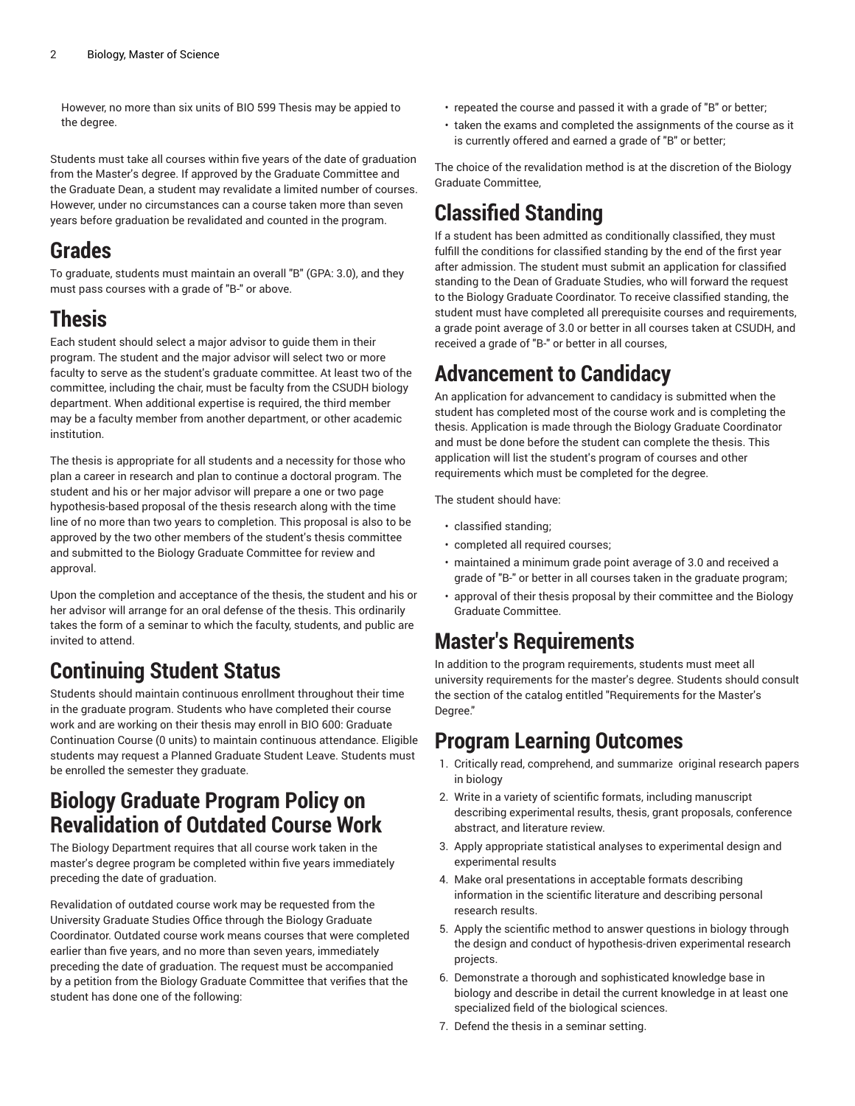However, no more than six units of BIO 599 Thesis may be appied to the degree.

Students must take all courses within five years of the date of graduation from the Master's degree. If approved by the Graduate Committee and the Graduate Dean, a student may revalidate a limited number of courses. However, under no circumstances can a course taken more than seven years before graduation be revalidated and counted in the program.

# **Grades**

To graduate, students must maintain an overall "B" (GPA: 3.0), and they must pass courses with a grade of "B-" or above.

# **Thesis**

Each student should select a major advisor to guide them in their program. The student and the major advisor will select two or more faculty to serve as the student's graduate committee. At least two of the committee, including the chair, must be faculty from the CSUDH biology department. When additional expertise is required, the third member may be a faculty member from another department, or other academic institution.

The thesis is appropriate for all students and a necessity for those who plan a career in research and plan to continue a doctoral program. The student and his or her major advisor will prepare a one or two page hypothesis-based proposal of the thesis research along with the time line of no more than two years to completion. This proposal is also to be approved by the two other members of the student's thesis committee and submitted to the Biology Graduate Committee for review and approval.

Upon the completion and acceptance of the thesis, the student and his or her advisor will arrange for an oral defense of the thesis. This ordinarily takes the form of a seminar to which the faculty, students, and public are invited to attend.

# **Continuing Student Status**

Students should maintain continuous enrollment throughout their time in the graduate program. Students who have completed their course work and are working on their thesis may enroll in BIO 600: Graduate Continuation Course (0 units) to maintain continuous attendance. Eligible students may request a Planned Graduate Student Leave. Students must be enrolled the semester they graduate.

#### **Biology Graduate Program Policy on Revalidation of Outdated Course Work**

The Biology Department requires that all course work taken in the master's degree program be completed within five years immediately preceding the date of graduation.

Revalidation of outdated course work may be requested from the University Graduate Studies Office through the Biology Graduate Coordinator. Outdated course work means courses that were completed earlier than five years, and no more than seven years, immediately preceding the date of graduation. The request must be accompanied by a petition from the Biology Graduate Committee that verifies that the student has done one of the following:

- repeated the course and passed it with a grade of "B" or better;
- taken the exams and completed the assignments of the course as it is currently offered and earned a grade of "B" or better;

The choice of the revalidation method is at the discretion of the Biology Graduate Committee,

## **Classified Standing**

If a student has been admitted as conditionally classified, they must fulfill the conditions for classified standing by the end of the first year after admission. The student must submit an application for classified standing to the Dean of Graduate Studies, who will forward the request to the Biology Graduate Coordinator. To receive classified standing, the student must have completed all prerequisite courses and requirements, a grade point average of 3.0 or better in all courses taken at CSUDH, and received a grade of "B-" or better in all courses,

## **Advancement to Candidacy**

An application for advancement to candidacy is submitted when the student has completed most of the course work and is completing the thesis. Application is made through the Biology Graduate Coordinator and must be done before the student can complete the thesis. This application will list the student's program of courses and other requirements which must be completed for the degree.

The student should have:

- classified standing;
- completed all required courses;
- maintained a minimum grade point average of 3.0 and received a grade of "B-" or better in all courses taken in the graduate program;
- approval of their thesis proposal by their committee and the Biology Graduate Committee.

#### **Master's Requirements**

In addition to the program requirements, students must meet all university requirements for the master's degree. Students should consult the section of the catalog entitled "Requirements for the Master's Degree."

#### **Program Learning Outcomes**

- 1. Critically read, comprehend, and summarize original research papers in biology
- 2. Write in a variety of scientific formats, including manuscript describing experimental results, thesis, grant proposals, conference abstract, and literature review.
- 3. Apply appropriate statistical analyses to experimental design and experimental results
- 4. Make oral presentations in acceptable formats describing information in the scientific literature and describing personal research results.
- 5. Apply the scientific method to answer questions in biology through the design and conduct of hypothesis-driven experimental research projects.
- 6. Demonstrate a thorough and sophisticated knowledge base in biology and describe in detail the current knowledge in at least one specialized field of the biological sciences.
- 7. Defend the thesis in a seminar setting.